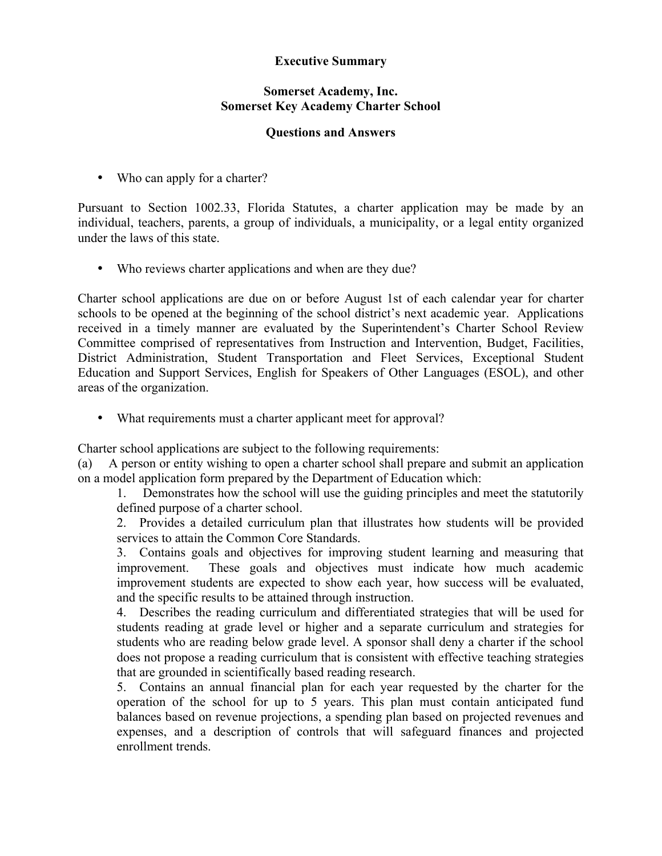## **Executive Summary**

## **Somerset Academy, Inc. Somerset Key Academy Charter School**

## **Questions and Answers**

• Who can apply for a charter?

Pursuant to Section 1002.33, Florida Statutes, a charter application may be made by an individual, teachers, parents, a group of individuals, a municipality, or a legal entity organized under the laws of this state.

• Who reviews charter applications and when are they due?

Charter school applications are due on or before August 1st of each calendar year for charter schools to be opened at the beginning of the school district's next academic year. Applications received in a timely manner are evaluated by the Superintendent's Charter School Review Committee comprised of representatives from Instruction and Intervention, Budget, Facilities, District Administration, Student Transportation and Fleet Services, Exceptional Student Education and Support Services, English for Speakers of Other Languages (ESOL), and other areas of the organization.

• What requirements must a charter applicant meet for approval?

Charter school applications are subject to the following requirements:

(a) A person or entity wishing to open a charter school shall prepare and submit an application on a model application form prepared by the Department of Education which:

1. Demonstrates how the school will use the guiding principles and meet the statutorily defined purpose of a charter school.

2. Provides a detailed curriculum plan that illustrates how students will be provided services to attain the Common Core Standards.

3. Contains goals and objectives for improving student learning and measuring that improvement. These goals and objectives must indicate how much academic improvement students are expected to show each year, how success will be evaluated, and the specific results to be attained through instruction.

4. Describes the reading curriculum and differentiated strategies that will be used for students reading at grade level or higher and a separate curriculum and strategies for students who are reading below grade level. A sponsor shall deny a charter if the school does not propose a reading curriculum that is consistent with effective teaching strategies that are grounded in scientifically based reading research.

5. Contains an annual financial plan for each year requested by the charter for the operation of the school for up to 5 years. This plan must contain anticipated fund balances based on revenue projections, a spending plan based on projected revenues and expenses, and a description of controls that will safeguard finances and projected enrollment trends.